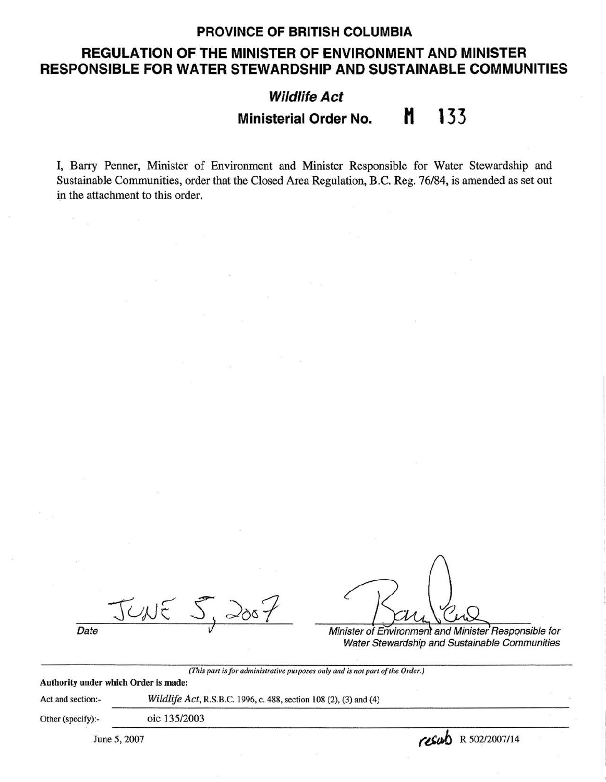### **PROVINCE OF BRITISH COLUMBIA**

## **REGULATION OF THE MINISTER OF ENVIRONMENT AND MINISTER RESPONSIBLE FOR WATER.STEWARDSHIP AND SUSTAINABLE COMMUNITIES**

# **Wildlife Act Ministerial Order No. H 133**

I, Barry Penner, Minister of Environment and Minister Responsible for Water Stewardship and Sustainable Communities, order that the Closed Area Regulation, B.C. Reg. 76/84, is amended as set out in the attachment to this order.

JUNE 5, 2007

Date **Date Minister of Environment and Minister Responsible for** Water Stewardship and Sustainable Communities

*(This part is for administrative purposes only and is not part of the Order.)* 

**Authority under which Order is made:** 

Act and section:- *Wildlife Act,* R.S.B.C. 1996, c. 488, section 108 (2), (3) and (4)

Other (specify):- oic 135/2003

 $J_{\text{June } 5, 2007}$   $\overline{O(135/2003)}$   $\overline{C6ab}$  R 502/2007/14